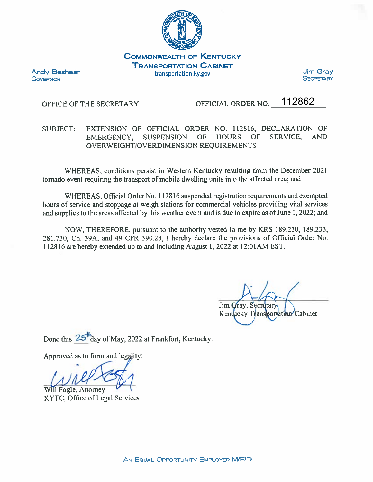

**COMMONWEALTH OF KENTUCKY TRANSPORTATION CABINET** transportation.ky.gov

**Andy Beshear GOVERNOR** 

**Jim Gray SECRETARY** 

## OFFICE OF THE SECRETARY

OFFICIAL ORDER NO. 112862

## EXTENSION OF OFFICIAL ORDER NO. 112816, DECLARATION OF SUBJECT: EMERGENCY, SUSPENSION OF HOURS **OF** SERVICE. AND OVERWEIGHT/OVERDIMENSION REOUIREMENTS

WHEREAS, conditions persist in Western Kentucky resulting from the December 2021 tornado event requiring the transport of mobile dwelling units into the affected area; and

WHEREAS, Official Order No. 112816 suspended registration requirements and exempted hours of service and stoppage at weigh stations for commercial vehicles providing vital services and supplies to the areas affected by this weather event and is due to expire as of June 1, 2022; and

NOW, THEREFORE, pursuant to the authority vested in me by KRS 189.230, 189.233, 281.730, Ch. 39A, and 49 CFR 390.23, I hereby declare the provisions of Official Order No. 112816 are hereby extended up to and including August 1, 2022 at 12:01 AM EST.

Jim Gray, Secretary Kentucky Transportation Cabinet

Done this 25<sup>th</sup>day of May, 2022 at Frankfort, Kentucky.

Approved as to form and legality:

Will Fogle, Attorney KYTC, Office of Legal Services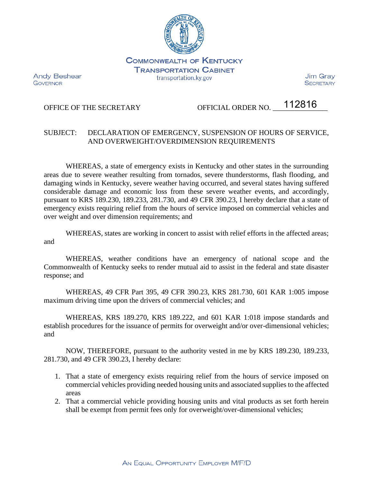

**COMMONWEALTH OF KENTUCKY TRANSPORTATION CABINET** transportation.ky.gov

**Andy Beshear GOVERNOR** 

Jim Grav **SECRETARY** 

## OFFICE OF THE SECRETARY OFFICIAL ORDER NO.

112816

## SUBJECT: DECLARATION OF EMERGENCY, SUSPENSION OF HOURS OF SERVICE, AND OVERWEIGHT/OVERDIMENSION REQUIREMENTS

WHEREAS, a state of emergency exists in Kentucky and other states in the surrounding areas due to severe weather resulting from tornados, severe thunderstorms, flash flooding, and damaging winds in Kentucky, severe weather having occurred, and several states having suffered considerable damage and economic loss from these severe weather events, and accordingly, pursuant to KRS 189.230, 189.233, 281.730, and 49 CFR 390.23, I hereby declare that a state of emergency exists requiring relief from the hours of service imposed on commercial vehicles and over weight and over dimension requirements; and

WHEREAS, states are working in concert to assist with relief efforts in the affected areas; and

WHEREAS, weather conditions have an emergency of national scope and the Commonwealth of Kentucky seeks to render mutual aid to assist in the federal and state disaster response; and

WHEREAS, 49 CFR Part 395, 49 CFR 390.23, KRS 281.730, 601 KAR 1:005 impose maximum driving time upon the drivers of commercial vehicles; and

WHEREAS, KRS 189.270, KRS 189.222, and 601 KAR 1:018 impose standards and establish procedures for the issuance of permits for overweight and/or over-dimensional vehicles; and

NOW, THEREFORE, pursuant to the authority vested in me by KRS 189.230, 189.233, 281.730, and 49 CFR 390.23, I hereby declare:

- 1. That a state of emergency exists requiring relief from the hours of service imposed on commercial vehicles providing needed housing units and associated supplies to the affected areas
- 2. That a commercial vehicle providing housing units and vital products as set forth herein shall be exempt from permit fees only for overweight/over-dimensional vehicles;